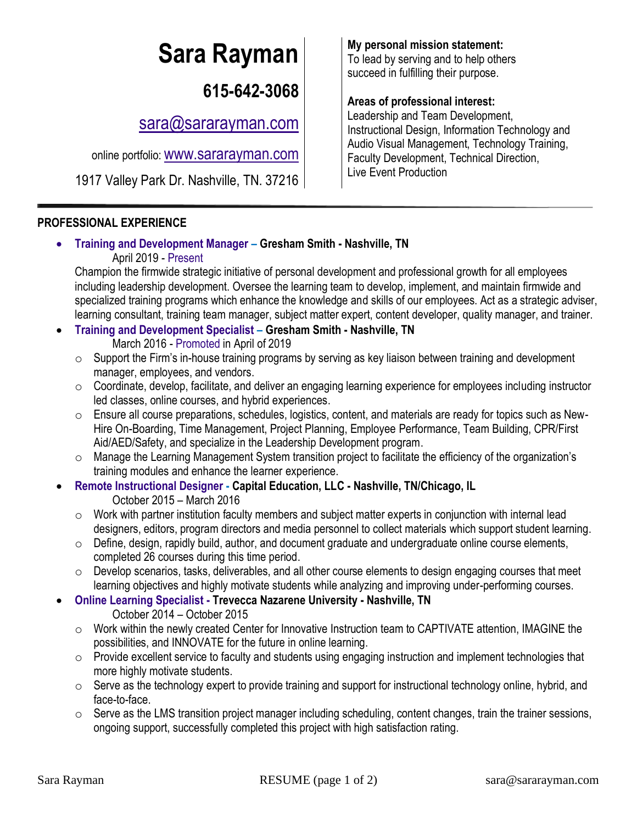# **Sara Rayman My personal mission statement:**<br>To lead by serving and to help other

## **615-642-3068**

[sara@sararayman.com](mailto:sara@sararayman.com)

online portfolio: [www.sararayman.com](http://www.sararayman.com/)

1917 Valley Park Dr. Nashville, TN. 37216

#### **PROFESSIONAL EXPERIENCE**

• **Training and Development Manager – Gresham Smith - Nashville, TN**  April 2019 - Present

Champion the firmwide strategic initiative of personal development and professional growth for all employees including leadership development. Oversee the learning team to develop, implement, and maintain firmwide and specialized training programs which enhance the knowledge and skills of our employees. Act as a strategic adviser, learning consultant, training team manager, subject matter expert, content developer, quality manager, and trainer.

- **Training and Development Specialist – Gresham Smith - Nashville, TN**  March 2016 - Promoted in April of 2019
	- $\circ$  Support the Firm's in-house training programs by serving as key liaison between training and development manager, employees, and vendors.
	- o Coordinate, develop, facilitate, and deliver an engaging learning experience for employees including instructor led classes, online courses, and hybrid experiences.
	- o Ensure all course preparations, schedules, logistics, content, and materials are ready for topics such as New-Hire On-Boarding, Time Management, Project Planning, Employee Performance, Team Building, CPR/First Aid/AED/Safety, and specialize in the Leadership Development program.
	- o Manage the Learning Management System transition project to facilitate the efficiency of the organization's training modules and enhance the learner experience.
- **Remote Instructional Designer - Capital Education, LLC - Nashville, TN/Chicago, IL** October 2015 – March 2016
	- o Work with partner institution faculty members and subject matter experts in conjunction with internal lead designers, editors, program directors and media personnel to collect materials which support student learning.
	- $\circ$  Define, design, rapidly build, author, and document graduate and undergraduate online course elements, completed 26 courses during this time period.
	- o Develop scenarios, tasks, deliverables, and all other course elements to design engaging courses that meet learning objectives and highly motivate students while analyzing and improving under-performing courses.
- **Online Learning Specialist - Trevecca Nazarene University - Nashville, TN**

October 2014 – October 2015

- $\circ$  Work within the newly created Center for Innovative Instruction team to CAPTIVATE attention, IMAGINE the possibilities, and INNOVATE for the future in online learning.
- $\circ$  Provide excellent service to faculty and students using engaging instruction and implement technologies that more highly motivate students.
- $\circ$  Serve as the technology expert to provide training and support for instructional technology online, hybrid, and face-to-face.
- $\circ$  Serve as the LMS transition project manager including scheduling, content changes, train the trainer sessions, ongoing support, successfully completed this project with high satisfaction rating.

To lead by serving and to help others succeed in fulfilling their purpose.

#### **Areas of professional interest:**

Leadership and Team Development, Instructional Design, Information Technology and Audio Visual Management, Technology Training, Faculty Development, Technical Direction, Live Event Production